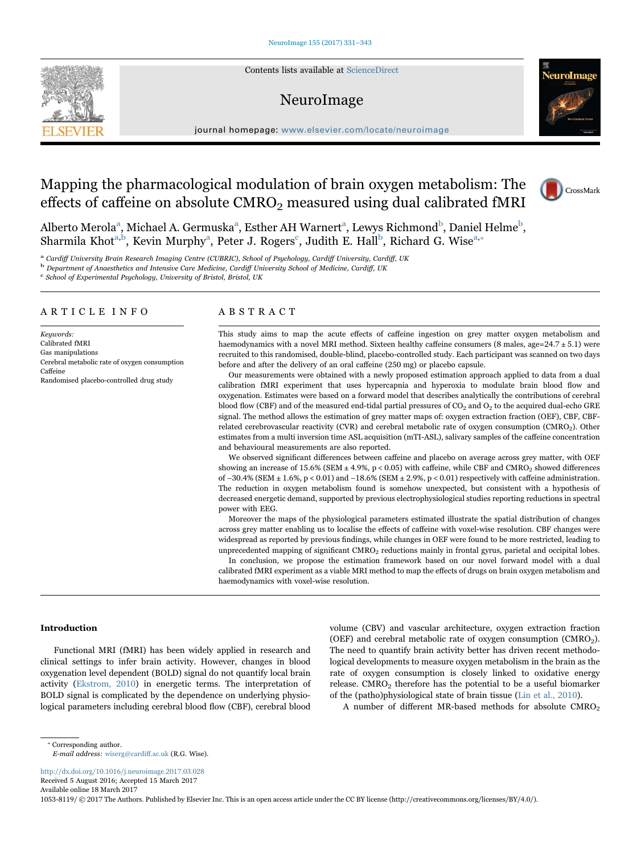Contents lists available at [ScienceDirect](http://www.sciencedirect.com/science/journal/10538119)

## NeuroImage



journal homepage: [www.elsevier.com/locate/neuroimage](http://www.elsevier.com/locate/neuroimage)

# Mapping the pharmacological modulation of brain oxygen metabolism: The effects of caffeine on absolute  $CMRO<sub>2</sub>$  measured using dual calibrated fMRI



Alberto Merola<sup>a</sup>[, Michael A. Germuska](#page-0-0)<sup>a</sup>, Esther AH Warnert<sup>a</sup>, Lewys Richmond<sup>b</sup>, Daniel Helme<sup>b</sup>, Sharmila Khot<sup>[a,b](#page-0-0)</sup>[, Kevin Murphy](#page-0-1)<sup>a</sup>[, Peter J. Rogers](#page-0-0)<sup>c</sup>[, Judith E. Hall](#page-0-2)<sup>b</sup>[, Richard G. Wise](#page-0-1)<sup>[a,](#page-0-0)\*</sup>

<span id="page-0-0"></span>a Cardiff University Brain Research Imaging Centre (CUBRIC), School of Psychology, Cardiff University, Cardiff, UK b Department of Anaesthetics and Intensive Care Medicine, Cardiff University School of Medicine, Cardiff,

<span id="page-0-1"></span>

<span id="page-0-2"></span>

## ARTICLE INFO

Keywords: Calibrated fMRI Gas manipulations Cerebral metabolic rate of oxygen consumption Caffeine Randomised placebo-controlled drug study

## ABSTRACT

This study aims to map the acute effects of caffeine ingestion on grey matter oxygen metabolism and haemodynamics with a novel MRI method. Sixteen healthy caffeine consumers (8 males, age=24.7 ± 5.1) were recruited to this randomised, double-blind, placebo-controlled study. Each participant was scanned on two days before and after the delivery of an oral caffeine (250 mg) or placebo capsule.

Our measurements were obtained with a newly proposed estimation approach applied to data from a dual calibration fMRI experiment that uses hypercapnia and hyperoxia to modulate brain blood flow and oxygenation. Estimates were based on a forward model that describes analytically the contributions of cerebral blood flow (CBF) and of the measured end-tidal partial pressures of  $CO<sub>2</sub>$  and  $O<sub>2</sub>$  to the acquired dual-echo GRE signal. The method allows the estimation of grey matter maps of: oxygen extraction fraction (OEF), CBF, CBFrelated cerebrovascular reactivity (CVR) and cerebral metabolic rate of oxygen consumption (CMRO<sub>2</sub>). Other estimates from a multi inversion time ASL acquisition (mTI-ASL), salivary samples of the caffeine concentration and behavioural measurements are also reported.

We observed significant differences between caffeine and placebo on average across grey matter, with OEF showing an increase of  $15.6\%$  (SEM  $\pm$  4.9%, p < 0.05) with caffeine, while CBF and CMRO<sub>2</sub> showed differences of −30.4% (SEM ± 1.6%, p < 0.01) and −18.6% (SEM ± 2.9%, p < 0.01) respectively with caffeine administration. The reduction in oxygen metabolism found is somehow unexpected, but consistent with a hypothesis of decreased energetic demand, supported by previous electrophysiological studies reporting reductions in spectral power with EEG.

Moreover the maps of the physiological parameters estimated illustrate the spatial distribution of changes across grey matter enabling us to localise the effects of caffeine with voxel-wise resolution. CBF changes were widespread as reported by previous findings, while changes in OEF were found to be more restricted, leading to unprecedented mapping of significant CMRO2 reductions mainly in frontal gyrus, parietal and occipital lobes.

In conclusion, we propose the estimation framework based on our novel forward model with a dual calibrated fMRI experiment as a viable MRI method to map the effects of drugs on brain oxygen metabolism and haemodynamics with voxel-wise resolution.

## Introduction

Functional MRI (fMRI) has been widely applied in research and clinical settings to infer brain activity. However, changes in blood oxygenation level dependent (BOLD) signal do not quantify local brain activity ([Ekstrom, 2010](#page-11-0)) in energetic terms. The interpretation of BOLD signal is complicated by the dependence on underlying physiological parameters including cerebral blood flow (CBF), cerebral blood

volume (CBV) and vascular architecture, oxygen extraction fraction (OEF) and cerebral metabolic rate of oxygen consumption ( $CMRO<sub>2</sub>$ ). The need to quantify brain activity better has driven recent methodological developments to measure oxygen metabolism in the brain as the rate of oxygen consumption is closely linked to oxidative energy release. CMRO<sub>2</sub> therefore has the potential to be a useful biomarker of the (patho)physiological state of brain tissue [\(Lin et al., 2010](#page-11-1)).

A number of different MR-based methods for absolute  $CMRO<sub>2</sub>$ 

<http://dx.doi.org/10.1016/j.neuroimage.2017.03.028> Received 5 August 2016; Accepted 15 March 2017 Available online 18 March 2017

1053-8119/ © 2017 The Authors. Published by Elsevier Inc. This is an open access article under the CC BY license (http://creativecommons.org/licenses/BY/4.0/).

<span id="page-0-3"></span><sup>⁎</sup> Corresponding author.

E-mail address: wiserg@cardiff.ac.uk (R.G. Wise).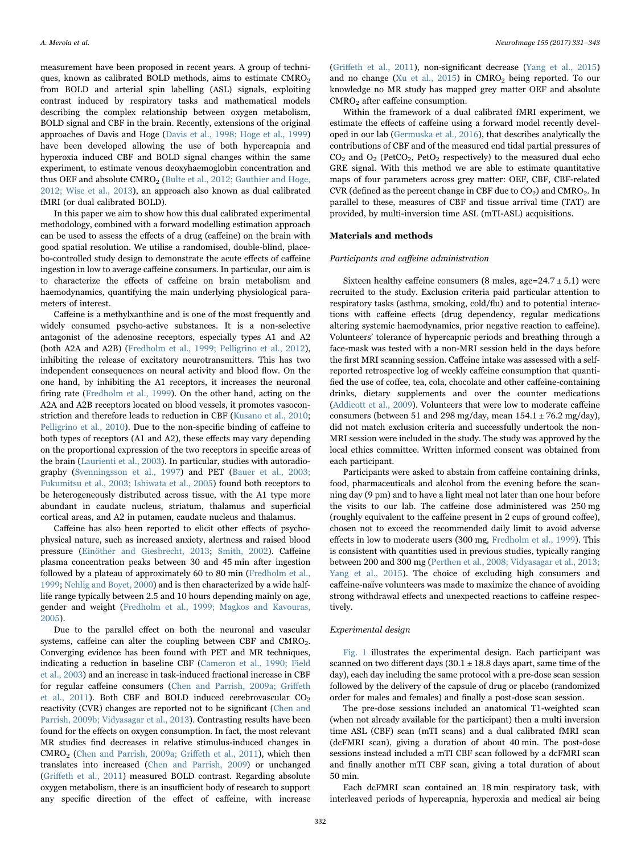measurement have been proposed in recent years. A group of techniques, known as calibrated BOLD methods, aims to estimate CMRO<sub>2</sub> from BOLD and arterial spin labelling (ASL) signals, exploiting contrast induced by respiratory tasks and mathematical models describing the complex relationship between oxygen metabolism, BOLD signal and CBF in the brain. Recently, extensions of the original approaches of Davis and Hoge [\(Davis et al., 1998; Hoge et al., 1999\)](#page-11-2) have been developed allowing the use of both hypercapnia and hyperoxia induced CBF and BOLD signal changes within the same experiment, to estimate venous deoxyhaemoglobin concentration and thus OEF and absolute CMRO<sub>2</sub> ([Bulte et al., 2012; Gauthier and Hoge,](#page-11-3) [2012; Wise et al., 2013](#page-11-3)), an approach also known as dual calibrated fMRI (or dual calibrated BOLD).

In this paper we aim to show how this dual calibrated experimental methodology, combined with a forward modelling estimation approach can be used to assess the effects of a drug (caffeine) on the brain with good spatial resolution. We utilise a randomised, double-blind, placebo-controlled study design to demonstrate the acute effects of caffeine ingestion in low to average caffeine consumers. In particular, our aim is to characterize the effects of caffeine on brain metabolism and haemodynamics, quantifying the main underlying physiological parameters of interest.

Caffeine is a methylxanthine and is one of the most frequently and widely consumed psycho-active substances. It is a non-selective antagonist of the adenosine receptors, especially types A1 and A2 (both A2A and A2B) [\(Fredholm et al., 1999; Pelligrino et al., 2012\)](#page-11-4), inhibiting the release of excitatory neurotransmitters. This has two independent consequences on neural activity and blood flow. On the one hand, by inhibiting the A1 receptors, it increases the neuronal firing rate ([Fredholm et al., 1999](#page-11-4)). On the other hand, acting on the A2A and A2B receptors located on blood vessels, it promotes vasoconstriction and therefore leads to reduction in CBF ([Kusano et al., 2010](#page-11-5); [Pelligrino et al., 2010\)](#page-12-0). Due to the non-specific binding of caffeine to both types of receptors (A1 and A2), these effects may vary depending on the proportional expression of the two receptors in specific areas of the brain [\(Laurienti et al., 2003\)](#page-11-6). In particular, studies with autoradiography ([Svenningsson et al., 1997\)](#page-12-1) and PET ([Bauer et al., 2003;](#page-11-7) [Fukumitsu et al., 2003; Ishiwata et al., 2005\)](#page-11-7) found both receptors to be heterogeneously distributed across tissue, with the A1 type more abundant in caudate nucleus, striatum, thalamus and superficial cortical areas, and A2 in putamen, caudate nucleus and thalamus.

Caffeine has also been reported to elicit other effects of psychophysical nature, such as increased anxiety, alertness and raised blood pressure [\(Einöther and Giesbrecht, 2013;](#page-11-8) [Smith, 2002](#page-12-2)). Caffeine plasma concentration peaks between 30 and 45 min after ingestion followed by a plateau of approximately 60 to 80 min ([Fredholm et al.,](#page-11-4) [1999;](#page-11-4) [Nehlig and Boyet, 2000](#page-11-9)) and is then characterized by a wide halflife range typically between 2.5 and 10 hours depending mainly on age, gender and weight ([Fredholm et al., 1999; Magkos and Kavouras,](#page-11-4) [2005\)](#page-11-4).

Due to the parallel effect on both the neuronal and vascular systems, caffeine can alter the coupling between CBF and CMRO<sub>2</sub>. Converging evidence has been found with PET and MR techniques, indicating a reduction in baseline CBF ([Cameron et al., 1990; Field](#page-11-10) [et al., 2003](#page-11-10)) and an increase in task-induced fractional increase in CBF for regular caffeine consumers [\(Chen and Parrish, 2009a; Gri](#page-11-11)ffeth [et al., 2011\)](#page-11-11). Both CBF and BOLD induced cerebrovascular  $CO<sub>2</sub>$ reactivity (CVR) changes are reported not to be significant [\(Chen and](#page-11-12) [Parrish, 2009b; Vidyasagar et al., 2013](#page-11-12)). Contrasting results have been found for the effects on oxygen consumption. In fact, the most relevant MR studies find decreases in relative stimulus-induced changes in CMRO<sub>2</sub> [\(Chen and Parrish, 2009a; Gri](#page-11-11)ffeth et al., 2011), which then translates into increased [\(Chen and Parrish, 2009\)](#page-11-11) or unchanged (Griff[eth et al., 2011](#page-11-13)) measured BOLD contrast. Regarding absolute oxygen metabolism, there is an insufficient body of research to support any specific direction of the effect of caffeine, with increase

(Griff[eth et al., 2011\)](#page-11-13), non-significant decrease [\(Yang et al., 2015\)](#page-12-3) and no change ([Xu et al., 2015\)](#page-12-4) in  $CMRO<sub>2</sub>$  being reported. To our knowledge no MR study has mapped grey matter OEF and absolute CMRO2 after caffeine consumption.

Within the framework of a dual calibrated fMRI experiment, we estimate the effects of caffeine using a forward model recently developed in our lab [\(Germuska et al., 2016\)](#page-11-14), that describes analytically the contributions of CBF and of the measured end tidal partial pressures of  $CO<sub>2</sub>$  and  $O<sub>2</sub>$  (PetCO<sub>2</sub>, PetO<sub>2</sub> respectively) to the measured dual echo GRE signal. With this method we are able to estimate quantitative maps of four parameters across grey matter: OEF, CBF, CBF-related CVR (defined as the percent change in CBF due to  $CO<sub>2</sub>$ ) and CMRO<sub>2</sub>. In parallel to these, measures of CBF and tissue arrival time (TAT) are provided, by multi-inversion time ASL (mTI-ASL) acquisitions.

## Materials and methods

### Participants and caffeine administration

Sixteen healthy caffeine consumers (8 males, age= $24.7 \pm 5.1$ ) were recruited to the study. Exclusion criteria paid particular attention to respiratory tasks (asthma, smoking, cold/flu) and to potential interactions with caffeine effects (drug dependency, regular medications altering systemic haemodynamics, prior negative reaction to caffeine). Volunteers' tolerance of hypercapnic periods and breathing through a face-mask was tested with a non-MRI session held in the days before the first MRI scanning session. Caffeine intake was assessed with a selfreported retrospective log of weekly caffeine consumption that quantified the use of coffee, tea, cola, chocolate and other caffeine-containing drinks, dietary supplements and over the counter medications ([Addicott et al., 2009](#page-11-15)). Volunteers that were low to moderate caffeine consumers (between 51 and 298 mg/day, mean  $154.1 \pm 76.2$  mg/day), did not match exclusion criteria and successfully undertook the non-MRI session were included in the study. The study was approved by the local ethics committee. Written informed consent was obtained from each participant.

Participants were asked to abstain from caffeine containing drinks, food, pharmaceuticals and alcohol from the evening before the scanning day (9 pm) and to have a light meal not later than one hour before the visits to our lab. The caffeine dose administered was 250 mg (roughly equivalent to the caffeine present in 2 cups of ground coffee), chosen not to exceed the recommended daily limit to avoid adverse effects in low to moderate users (300 mg, [Fredholm et al., 1999\)](#page-11-4). This is consistent with quantities used in previous studies, typically ranging between 200 and 300 mg ([Perthen et al., 2008; Vidyasagar et al., 2013;](#page-12-5) [Yang et al., 2015](#page-12-5)). The choice of excluding high consumers and caffeine-naïve volunteers was made to maximize the chance of avoiding strong withdrawal effects and unexpected reactions to caffeine respectively.

## Experimental design

[Fig. 1](#page-2-0) illustrates the experimental design. Each participant was scanned on two different days ( $30.1 \pm 18.8$  days apart, same time of the day), each day including the same protocol with a pre-dose scan session followed by the delivery of the capsule of drug or placebo (randomized order for males and females) and finally a post-dose scan session.

The pre-dose sessions included an anatomical T1-weighted scan (when not already available for the participant) then a multi inversion time ASL (CBF) scan (mTI scans) and a dual calibrated fMRI scan (dcFMRI scan), giving a duration of about 40 min. The post-dose sessions instead included a mTI CBF scan followed by a dcFMRI scan and finally another mTI CBF scan, giving a total duration of about 50 min.

Each dcFMRI scan contained an 18 min respiratory task, with interleaved periods of hypercapnia, hyperoxia and medical air being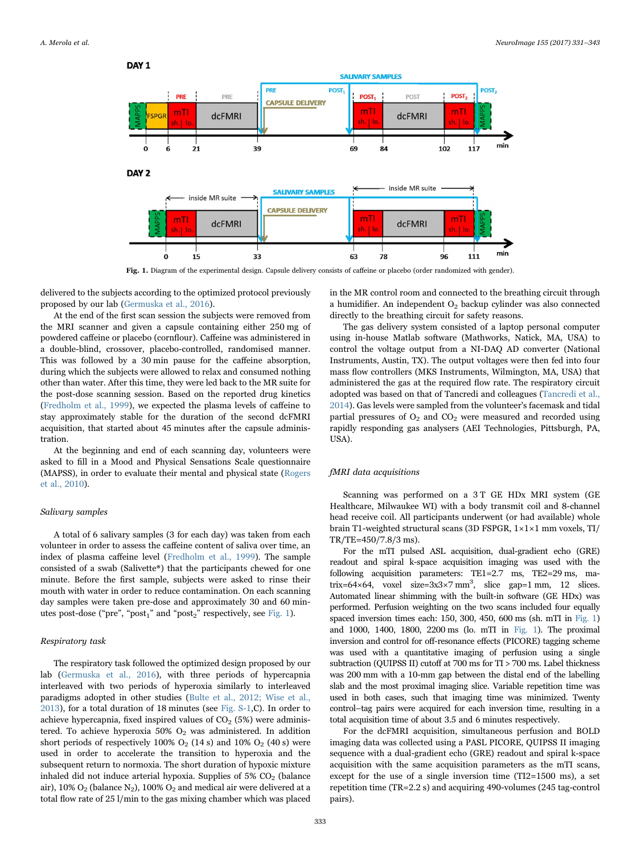<span id="page-2-0"></span>

Fig. 1. Diagram of the experimental design. Capsule delivery consists of caffeine or placebo (order randomized with gender).

delivered to the subjects according to the optimized protocol previously proposed by our lab [\(Germuska et al., 2016\)](#page-11-14).

At the end of the first scan session the subjects were removed from the MRI scanner and given a capsule containing either 250 mg of powdered caffeine or placebo (cornflour). Caffeine was administered in a double-blind, crossover, placebo-controlled, randomised manner. This was followed by a 30 min pause for the caffeine absorption, during which the subjects were allowed to relax and consumed nothing other than water. After this time, they were led back to the MR suite for the post-dose scanning session. Based on the reported drug kinetics ([Fredholm et al., 1999\)](#page-11-4), we expected the plasma levels of caffeine to stay approximately stable for the duration of the second dcFMRI acquisition, that started about 45 minutes after the capsule administration.

At the beginning and end of each scanning day, volunteers were asked to fill in a Mood and Physical Sensations Scale questionnaire (MAPSS), in order to evaluate their mental and physical state [\(Rogers](#page-12-6) [et al., 2010](#page-12-6)).

#### Salivary samples

A total of 6 salivary samples (3 for each day) was taken from each volunteer in order to assess the caffeine content of saliva over time, an index of plasma caffeine level [\(Fredholm et al., 1999](#page-11-4)). The sample consisted of a swab (Salivette®) that the participants chewed for one minute. Before the first sample, subjects were asked to rinse their mouth with water in order to reduce contamination. On each scanning day samples were taken pre-dose and approximately 30 and 60 min-utes post-dose ("pre", "post<sub>1</sub>" and "post<sub>2</sub>" respectively, see [Fig. 1\)](#page-2-0).

## Respiratory task

The respiratory task followed the optimized design proposed by our lab ([Germuska et al., 2016](#page-11-14)), with three periods of hypercapnia interleaved with two periods of hyperoxia similarly to interleaved paradigms adopted in other studies ([Bulte et al., 2012; Wise et al.,](#page-11-3) [2013\)](#page-11-3), for a total duration of 18 minutes (see Fig. S-1,C). In order to achieve hypercapnia, fixed inspired values of  $CO<sub>2</sub>$  (5%) were administered. To achieve hyperoxia 50%  $O<sub>2</sub>$  was administered. In addition short periods of respectively  $100\%$  O<sub>2</sub> (14 s) and  $10\%$  O<sub>2</sub> (40 s) were used in order to accelerate the transition to hyperoxia and the subsequent return to normoxia. The short duration of hypoxic mixture inhaled did not induce arterial hypoxia. Supplies of  $5\%$  CO<sub>2</sub> (balance air), 10%  $O_2$  (balance N<sub>2</sub>), 100%  $O_2$  and medical air were delivered at a total flow rate of 25 l/min to the gas mixing chamber which was placed

in the MR control room and connected to the breathing circuit through a humidifier. An independent O2 backup cylinder was also connected directly to the breathing circuit for safety reasons.

The gas delivery system consisted of a laptop personal computer using in-house Matlab software (Mathworks, Natick, MA, USA) to control the voltage output from a NI-DAQ AD converter (National Instruments, Austin, TX). The output voltages were then fed into four mass flow controllers (MKS Instruments, Wilmington, MA, USA) that administered the gas at the required flow rate. The respiratory circuit adopted was based on that of Tancredi and colleagues [\(Tancredi et al.,](#page-12-7) [2014\)](#page-12-7). Gas levels were sampled from the volunteer's facemask and tidal partial pressures of  $O_2$  and  $CO_2$  were measured and recorded using rapidly responding gas analysers (AEI Technologies, Pittsburgh, PA, USA).

## fMRI data acquisitions

Scanning was performed on a 3T GE HDx MRI system (GE Healthcare, Milwaukee WI) with a body transmit coil and 8-channel head receive coil. All participants underwent (or had available) whole brain T1-weighted structural scans (3D FSPGR, 1×1×1 mm voxels, TI/ TR/TE=450/7.8/3 ms).

For the mTI pulsed ASL acquisition, dual-gradient echo (GRE) readout and spiral k-space acquisition imaging was used with the following acquisition parameters: TE1=2.7 ms, TE2=29 ms, matrix=64×64, voxel size= $3x3 \times 7$  mm<sup>3</sup>, slice gap=1 mm, 12 slices. Automated linear shimming with the built-in software (GE HDx) was performed. Perfusion weighting on the two scans included four equally spaced inversion times each: 150, 300, 450, 600 ms (sh. mTI in [Fig. 1\)](#page-2-0) and 1000, 1400, 1800, 2200 ms (lo. mTI in [Fig. 1\)](#page-2-0). The proximal inversion and control for off-resonance effects (PICORE) tagging scheme was used with a quantitative imaging of perfusion using a single subtraction (QUIPSS II) cutoff at 700 ms for TI > 700 ms. Label thickness was 200 mm with a 10-mm gap between the distal end of the labelling slab and the most proximal imaging slice. Variable repetition time was used in both cases, such that imaging time was minimized. Twenty control–tag pairs were acquired for each inversion time, resulting in a total acquisition time of about 3.5 and 6 minutes respectively.

For the dcFMRI acquisition, simultaneous perfusion and BOLD imaging data was collected using a PASL PICORE, QUIPSS II imaging sequence with a dual-gradient echo (GRE) readout and spiral k-space acquisition with the same acquisition parameters as the mTI scans, except for the use of a single inversion time (TI2=1500 ms), a set repetition time (TR=2.2 s) and acquiring 490-volumes (245 tag-control pairs).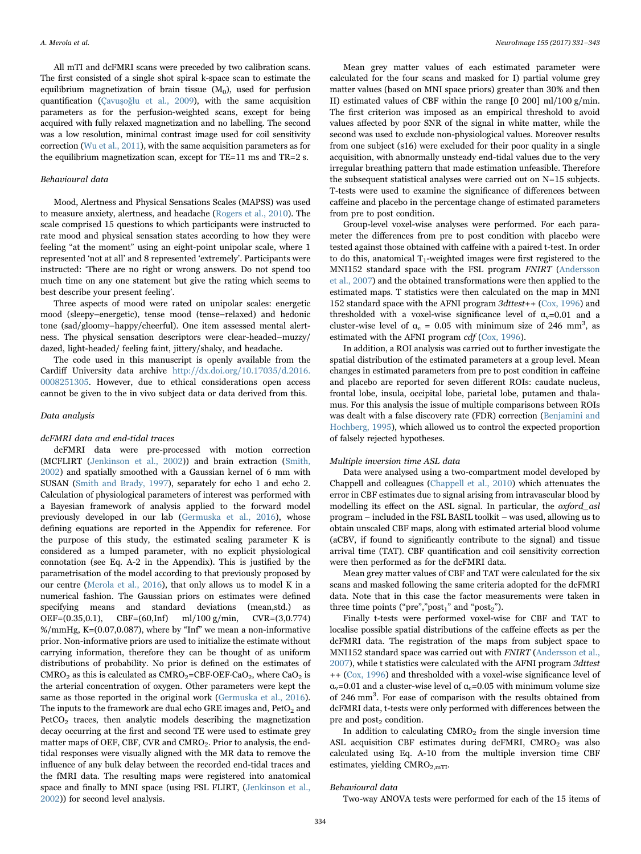All mTI and dcFMRI scans were preceded by two calibration scans. The first consisted of a single shot spiral k-space scan to estimate the equilibrium magnetization of brain tissue  $(M_0)$ , used for perfusion quantification (Çavuşoğ[lu et al., 2009](#page-11-16)), with the same acquisition parameters as for the perfusion-weighted scans, except for being acquired with fully relaxed magnetization and no labelling. The second was a low resolution, minimal contrast image used for coil sensitivity correction ([Wu et al., 2011\)](#page-12-8), with the same acquisition parameters as for the equilibrium magnetization scan, except for TE=11 ms and TR=2 s.

## Behavioural data

Mood, Alertness and Physical Sensations Scales (MAPSS) was used to measure anxiety, alertness, and headache ([Rogers et al., 2010\)](#page-12-6). The scale comprised 15 questions to which participants were instructed to rate mood and physical sensation states according to how they were feeling "at the moment" using an eight-point unipolar scale, where 1 represented 'not at all' and 8 represented 'extremely'. Participants were instructed: 'There are no right or wrong answers. Do not spend too much time on any one statement but give the rating which seems to best describe your present feeling'.

Three aspects of mood were rated on unipolar scales: energetic mood (sleepy–energetic), tense mood (tense–relaxed) and hedonic tone (sad/gloomy–happy/cheerful). One item assessed mental alertness. The physical sensation descriptors were clear-headed–muzzy/ dazed, light-headed/ feeling faint, jittery/shaky, and headache.

The code used in this manuscript is openly available from the Cardiff University data archive [http://dx.doi.org/10.17035/d.2016.](http://dx.doi.org/10.17035/d.2016.0008251305) [0008251305](http://dx.doi.org/10.17035/d.2016.0008251305). However, due to ethical considerations open access cannot be given to the in vivo subject data or data derived from this.

#### Data analysis

#### dcFMRI data and end-tidal traces

dcFMRI data were pre-processed with motion correction (MCFLIRT [\(Jenkinson et al., 2002\)](#page-11-17)) and brain extraction [\(Smith,](#page-12-2) [2002\)](#page-12-2) and spatially smoothed with a Gaussian kernel of 6 mm with SUSAN [\(Smith and Brady, 1997](#page-12-9)), separately for echo 1 and echo 2. Calculation of physiological parameters of interest was performed with a Bayesian framework of analysis applied to the forward model previously developed in our lab [\(Germuska et al., 2016](#page-11-14)), whose defining equations are reported in the Appendix for reference. For the purpose of this study, the estimated scaling parameter K is considered as a lumped parameter, with no explicit physiological connotation (see Eq. A-2 in the Appendix). This is justified by the parametrisation of the model according to that previously proposed by our centre ([Merola et al., 2016](#page-11-18)), that only allows us to model K in a numerical fashion. The Gaussian priors on estimates were defined specifying means and standard deviations (mean,std.) as OEF=(0.35,0.1), CBF=(60,Inf) ml/100 g/min, CVR=(3,0.774) %/mmHg, K=(0.07,0.087), where by "Inf" we mean a non-informative prior. Non-informative priors are used to initialize the estimate without carrying information, therefore they can be thought of as uniform distributions of probability. No prior is defined on the estimates of  $CMRO<sub>2</sub>$  as this is calculated as  $CMRO<sub>2</sub>=CBF\cdot OEF\cdot CaO<sub>2</sub>$ , where  $CaO<sub>2</sub>$  is the arterial concentration of oxygen. Other parameters were kept the same as those reported in the original work [\(Germuska et al., 2016\)](#page-11-14). The inputs to the framework are dual echo GRE images and,  $PetO<sub>2</sub>$  and  $PetCO<sub>2</sub>$  traces, then analytic models describing the magnetization decay occurring at the first and second TE were used to estimate grey matter maps of OEF, CBF, CVR and CMRO<sub>2</sub>. Prior to analysis, the endtidal responses were visually aligned with the MR data to remove the influence of any bulk delay between the recorded end-tidal traces and the fMRI data. The resulting maps were registered into anatomical space and finally to MNI space (using FSL FLIRT, ([Jenkinson et al.,](#page-11-17) [2002\)](#page-11-17)) for second level analysis.

Mean grey matter values of each estimated parameter were calculated for the four scans and masked for I) partial volume grey matter values (based on MNI space priors) greater than 30% and then II) estimated values of CBF within the range [0 200] ml/100 g/min. The first criterion was imposed as an empirical threshold to avoid values affected by poor SNR of the signal in white matter, while the second was used to exclude non-physiological values. Moreover results from one subject (s16) were excluded for their poor quality in a single acquisition, with abnormally unsteady end-tidal values due to the very irregular breathing pattern that made estimation unfeasible. Therefore the subsequent statistical analyses were carried out on  $N=15$  subjects. T-tests were used to examine the significance of differences between caffeine and placebo in the percentage change of estimated parameters from pre to post condition.

Group-level voxel-wise analyses were performed. For each parameter the differences from pre to post condition with placebo were tested against those obtained with caffeine with a paired t-test. In order to do this, anatomical  $T_1$ -weighted images were first registered to the MNI152 standard space with the FSL program FNIRT [\(Andersson](#page-11-19) [et al., 2007\)](#page-11-19) and the obtained transformations were then applied to the estimated maps. T statistics were then calculated on the map in MNI 152 standard space with the AFNI program 3dttest++ [\(Cox, 1996](#page-11-20)) and thresholded with a voxel-wise significance level of  $\alpha$ <sub>v</sub>=0.01 and a cluster-wise level of  $\alpha_c = 0.05$  with minimum size of 246 mm<sup>3</sup>, as estimated with the AFNI program cdf ([Cox, 1996\)](#page-11-20).

In addition, a ROI analysis was carried out to further investigate the spatial distribution of the estimated parameters at a group level. Mean changes in estimated parameters from pre to post condition in caffeine and placebo are reported for seven different ROIs: caudate nucleus, frontal lobe, insula, occipital lobe, parietal lobe, putamen and thalamus. For this analysis the issue of multiple comparisons between ROIs was dealt with a false discovery rate (FDR) correction [\(Benjamini and](#page-11-21) [Hochberg, 1995\)](#page-11-21), which allowed us to control the expected proportion of falsely rejected hypotheses.

#### Multiple inversion time ASL data

Data were analysed using a two-compartment model developed by Chappell and colleagues [\(Chappell et al., 2010](#page-11-22)) which attenuates the error in CBF estimates due to signal arising from intravascular blood by modelling its effect on the ASL signal. In particular, the oxford\_asl program – included in the FSL BASIL toolkit – was used, allowing us to obtain unscaled CBF maps, along with estimated arterial blood volume (aCBV, if found to significantly contribute to the signal) and tissue arrival time (TAT). CBF quantification and coil sensitivity correction were then performed as for the dcFMRI data.

Mean grey matter values of CBF and TAT were calculated for the six scans and masked following the same criteria adopted for the dcFMRI data. Note that in this case the factor measurements were taken in three time points ("pre","post<sub>1</sub>" and "post<sub>2</sub>").

Finally t-tests were performed voxel-wise for CBF and TAT to localise possible spatial distributions of the caffeine effects as per the dcFMRI data. The registration of the maps from subject space to MNI152 standard space was carried out with FNIRT [\(Andersson et al.,](#page-11-19) [2007\)](#page-11-19), while t statistics were calculated with the AFNI program 3dttest ++ [\(Cox, 1996](#page-11-20)) and thresholded with a voxel-wise significance level of  $\alpha_{\rm v}$ =0.01 and a cluster-wise level of  $\alpha_{\rm c}$ =0.05 with minimum volume size of 246 mm<sup>3</sup> . For ease of comparison with the results obtained from dcFMRI data, t-tests were only performed with differences between the pre and  $post_2$  condition.

In addition to calculating  $CMRO<sub>2</sub>$  from the single inversion time ASL acquisition CBF estimates during dcFMRI, CMRO<sub>2</sub> was also calculated using Eq. A-10 from the multiple inversion time CBF estimates, yielding  $CMRO<sub>2 mTT</sub>$ .

#### Behavioural data

Two-way ANOVA tests were performed for each of the 15 items of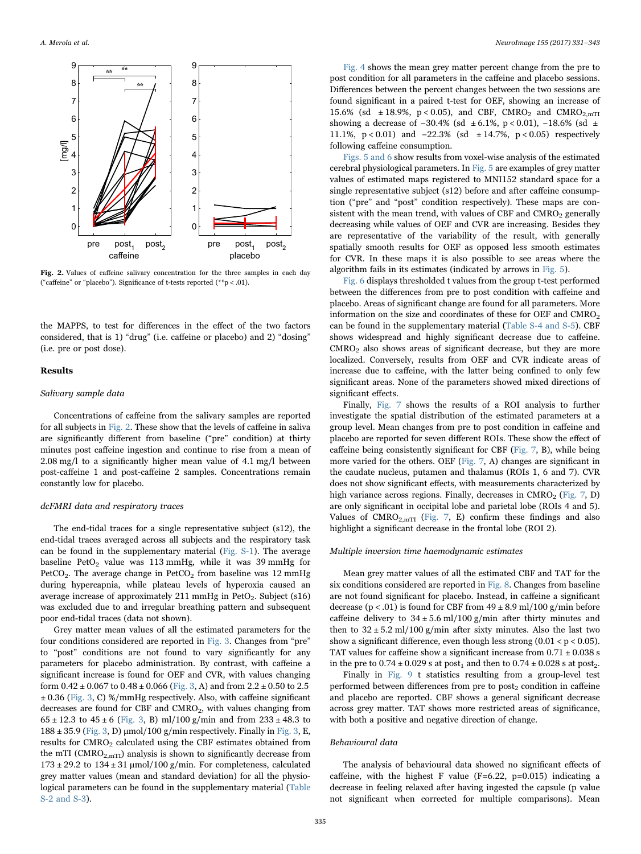<span id="page-4-0"></span>

Fig. 2. Values of caffeine salivary concentration for the three samples in each day ("caffeine" or "placebo"). Significance of t-tests reported ( $*$  $p$  < .01).

the MAPPS, to test for differences in the effect of the two factors considered, that is 1) "drug" (i.e. caffeine or placebo) and 2) "dosing" (i.e. pre or post dose).

#### Results

#### Salivary sample data

Concentrations of caffeine from the salivary samples are reported for all subjects in [Fig. 2.](#page-4-0) These show that the levels of caffeine in saliva are significantly different from baseline ("pre" condition) at thirty minutes post caffeine ingestion and continue to rise from a mean of 2.08 mg/l to a significantly higher mean value of 4.1 mg/l between post-caffeine 1 and post-caffeine 2 samples. Concentrations remain constantly low for placebo.

#### dcFMRI data and respiratory traces

The end-tidal traces for a single representative subject (s12), the end-tidal traces averaged across all subjects and the respiratory task can be found in the supplementary material (Fig. S-1). The average baseline PetO<sub>2</sub> value was 113 mmHg, while it was 39 mmHg for PetCO<sub>2</sub>. The average change in PetCO<sub>2</sub> from baseline was 12 mmHg during hypercapnia, while plateau levels of hyperoxia caused an average increase of approximately 211 mmHg in PetO<sub>2</sub>. Subject  $(s16)$ was excluded due to and irregular breathing pattern and subsequent poor end-tidal traces (data not shown).

Grey matter mean values of all the estimated parameters for the four conditions considered are reported in [Fig. 3](#page-5-0). Changes from "pre" to "post" conditions are not found to vary significantly for any parameters for placebo administration. By contrast, with caffeine a significant increase is found for OEF and CVR, with values changing form  $0.42 \pm 0.067$  to  $0.48 \pm 0.066$  ([Fig. 3,](#page-5-0) A) and from  $2.2 \pm 0.50$  to  $2.5$  $\pm$  0.36 [\(Fig. 3,](#page-5-0) C) %/mmHg respectively. Also, with caffeine significant decreases are found for CBF and  $CMRO<sub>2</sub>$ , with values changing from  $65 \pm 12.3$  to  $45 \pm 6$  [\(Fig. 3](#page-5-0), B) ml/100 g/min and from  $233 \pm 48.3$  to  $188 \pm 35.9$  ([Fig. 3,](#page-5-0) D)  $\mu$ mol/100 g/min respectively. Finally in [Fig. 3](#page-5-0), E, results for CMRO<sub>2</sub> calculated using the CBF estimates obtained from the mTI ( $CMRO<sub>2.mTI</sub>$ ) analysis is shown to significantly decrease from  $173 \pm 29.2$  to  $134 \pm 31$  µmol/100 g/min. For completeness, calculated grey matter values (mean and standard deviation) for all the physiological parameters can be found in the supplementary material (Table S-2 and S-3).

[Fig. 4](#page-6-0) shows the mean grey matter percent change from the pre to post condition for all parameters in the caffeine and placebo sessions. Differences between the percent changes between the two sessions are found significant in a paired t-test for OEF, showing an increase of 15.6% (sd  $\pm$  18.9%, p < 0.05), and CBF, CMRO<sub>2</sub> and CMRO<sub>2.mTI</sub> showing a decrease of −30.4% (sd ± 6.1%, p < 0.01), −18.6% (sd ± 11.1%, p < 0.01) and −22.3% (sd ± 14.7%, p < 0.05) respectively following caffeine consumption.

[Figs. 5 and 6](#page-6-1) show results from voxel-wise analysis of the estimated cerebral physiological parameters. In [Fig. 5](#page-6-1) are examples of grey matter values of estimated maps registered to MNI152 standard space for a single representative subject (s12) before and after caffeine consumption ("pre" and "post" condition respectively). These maps are consistent with the mean trend, with values of CBF and  $CMRO<sub>2</sub>$  generally decreasing while values of OEF and CVR are increasing. Besides they are representative of the variability of the result, with generally spatially smooth results for OEF as opposed less smooth estimates for CVR. In these maps it is also possible to see areas where the algorithm fails in its estimates (indicated by arrows in [Fig. 5\)](#page-6-1).

[Fig. 6](#page-7-0) displays thresholded t values from the group t-test performed between the differences from pre to post condition with caffeine and placebo. Areas of significant change are found for all parameters. More information on the size and coordinates of these for OEF and CMRO<sub>2</sub> can be found in the supplementary material (Table S-4 and S-5). CBF shows widespread and highly significant decrease due to caffeine.  $CMRO<sub>2</sub>$  also shows areas of significant decrease, but they are more localized. Conversely, results from OEF and CVR indicate areas of increase due to caffeine, with the latter being confined to only few significant areas. None of the parameters showed mixed directions of significant effects.

Finally, [Fig. 7](#page-8-0) shows the results of a ROI analysis to further investigate the spatial distribution of the estimated parameters at a group level. Mean changes from pre to post condition in caffeine and placebo are reported for seven different ROIs. These show the effect of caffeine being consistently significant for CBF ([Fig. 7](#page-8-0), B), while being more varied for the others. OEF ([Fig. 7,](#page-8-0) A) changes are significant in the caudate nucleus, putamen and thalamus (ROIs 1, 6 and 7). CVR does not show significant effects, with measurements characterized by high variance across regions. Finally, decreases in  $CMRO<sub>2</sub>$  ([Fig. 7,](#page-8-0) D) are only significant in occipital lobe and parietal lobe (ROIs 4 and 5). Values of  $CMRO<sub>2.mTI</sub>$  [\(Fig. 7,](#page-8-0) E) confirm these findings and also highlight a significant decrease in the frontal lobe (ROI 2).

#### Multiple inversion time haemodynamic estimates

Mean grey matter values of all the estimated CBF and TAT for the six conditions considered are reported in [Fig. 8](#page-9-0). Changes from baseline are not found significant for placebo. Instead, in caffeine a significant decrease ( $p < .01$ ) is found for CBF from  $49 \pm 8.9$  ml/100 g/min before caffeine delivery to  $34 \pm 5.6$  ml/100 g/min after thirty minutes and then to  $32 \pm 5.2$  ml/100 g/min after sixty minutes. Also the last two show a significant difference, even though less strong  $(0.01 < p < 0.05)$ . TAT values for caffeine show a significant increase from  $0.71 \pm 0.038$  s in the pre to  $0.74 \pm 0.029$  s at post<sub>1</sub> and then to  $0.74 \pm 0.028$  s at post<sub>2</sub>.

Finally in [Fig. 9](#page-9-1) t statistics resulting from a group-level test performed between differences from pre to  $post_2$  condition in caffeine and placebo are reported. CBF shows a general significant decrease across grey matter. TAT shows more restricted areas of significance, with both a positive and negative direction of change.

#### Behavioural data

The analysis of behavioural data showed no significant effects of caffeine, with the highest F value (F=6.22, p=0.015) indicating a decrease in feeling relaxed after having ingested the capsule (p value not significant when corrected for multiple comparisons). Mean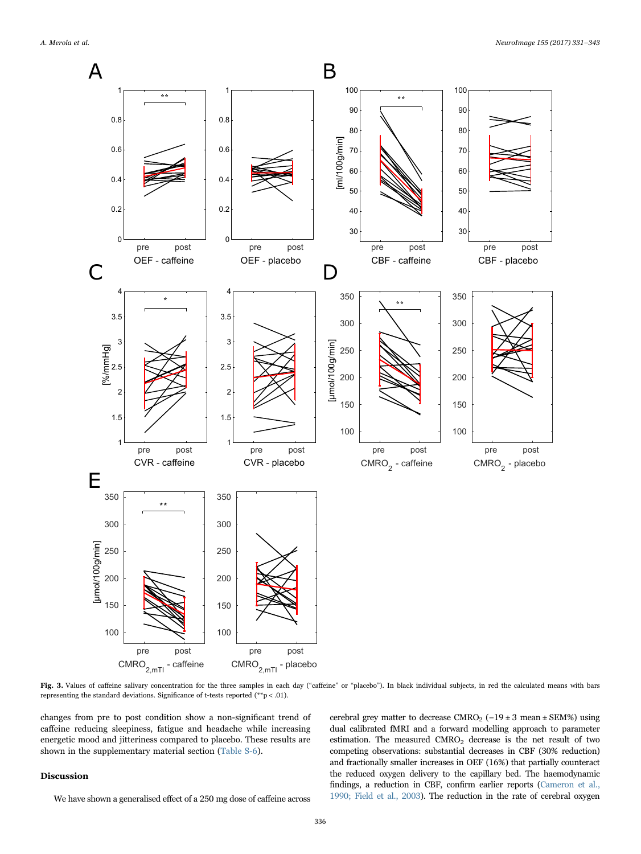<span id="page-5-0"></span>

Fig. 3. Values of caffeine salivary concentration for the three samples in each day ("caffeine" or "placebo"). In black individual subjects, in red the calculated means with bars representing the standard deviations. Significance of t-tests reported (\*\*p < .01).

changes from pre to post condition show a non-significant trend of caffeine reducing sleepiness, fatigue and headache while increasing energetic mood and jitteriness compared to placebo. These results are shown in the supplementary material section (Table S-6).

#### Discussion

We have shown a generalised effect of a 250 mg dose of caffeine across

cerebral grey matter to decrease CMRO<sub>2</sub> (−19 ± 3 mean ± SEM%) using dual calibrated fMRI and a forward modelling approach to parameter estimation. The measured CMRO<sub>2</sub> decrease is the net result of two competing observations: substantial decreases in CBF (30% reduction) and fractionally smaller increases in OEF (16%) that partially counteract the reduced oxygen delivery to the capillary bed. The haemodynamic findings, a reduction in CBF, confirm earlier reports [\(Cameron et al.,](#page-11-10) [1990; Field et al., 2003\)](#page-11-10). The reduction in the rate of cerebral oxygen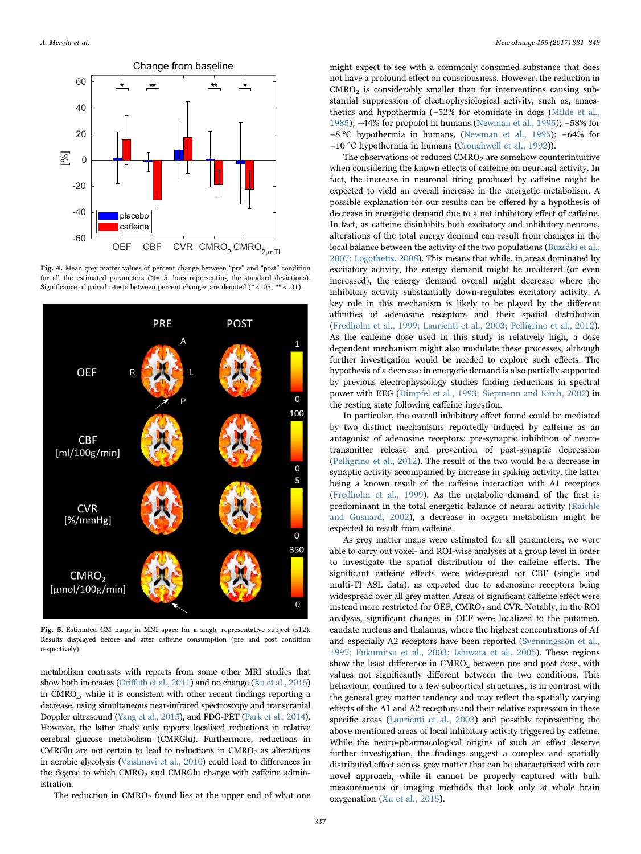<span id="page-6-0"></span>

Fig. 4. Mean grey matter values of percent change between "pre" and "post" condition for all the estimated parameters (N=15, bars representing the standard deviations). Significance of paired t-tests between percent changes are denoted (\* < .05, \*\* < .01).

<span id="page-6-1"></span>

Fig. 5. Estimated GM maps in MNI space for a single representative subject (s12). Results displayed before and after caffeine consumption (pre and post condition respectively).

metabolism contrasts with reports from some other MRI studies that show both increases (Griff[eth et al., 2011\)](#page-11-13) and no change [\(Xu et al., 2015\)](#page-12-4) in  $CMRO<sub>2</sub>$ , while it is consistent with other recent findings reporting a decrease, using simultaneous near-infrared spectroscopy and transcranial Doppler ultrasound ([Yang et al., 2015\)](#page-12-3), and FDG-PET ([Park et al., 2014\)](#page-12-10). However, the latter study only reports localised reductions in relative cerebral glucose metabolism (CMRGlu). Furthermore, reductions in CMRGlu are not certain to lead to reductions in  $CMRO<sub>2</sub>$  as alterations in aerobic glycolysis ([Vaishnavi et al., 2010](#page-12-11)) could lead to differences in the degree to which CMRO<sub>2</sub> and CMRGlu change with caffeine administration.

The reduction in  $CMRO<sub>2</sub>$  found lies at the upper end of what one

might expect to see with a commonly consumed substance that does not have a profound effect on consciousness. However, the reduction in  $CMRO<sub>2</sub>$  is considerably smaller than for interventions causing substantial suppression of electrophysiological activity, such as, anaesthetics and hypothermia (−52% for etomidate in dogs ([Milde et al.,](#page-11-23) [1985\)](#page-11-23); −44% for propofol in humans [\(Newman et al., 1995\)](#page-11-24); −58% for −8 °C hypothermia in humans, [\(Newman et al., 1995](#page-11-24)); −64% for −10 °C hypothermia in humans ([Croughwell et al., 1992\)](#page-11-25)).

The observations of reduced  $CMRO<sub>2</sub>$  are somehow counterintuitive when considering the known effects of caffeine on neuronal activity. In fact, the increase in neuronal firing produced by caffeine might be expected to yield an overall increase in the energetic metabolism. A possible explanation for our results can be offered by a hypothesis of decrease in energetic demand due to a net inhibitory effect of caffeine. In fact, as caffeine disinhibits both excitatory and inhibitory neurons, alterations of the total energy demand can result from changes in the local balance between the activity of the two populations [\(Buzsáki et al.,](#page-11-26) [2007; Logothetis, 2008\)](#page-11-26). This means that while, in areas dominated by excitatory activity, the energy demand might be unaltered (or even increased), the energy demand overall might decrease where the inhibitory activity substantially down-regulates excitatory activity. A key role in this mechanism is likely to be played by the different affinities of adenosine receptors and their spatial distribution ([Fredholm et al., 1999; Laurienti et al., 2003; Pelligrino et al., 2012\)](#page-11-4). As the caffeine dose used in this study is relatively high, a dose dependent mechanism might also modulate these processes, although further investigation would be needed to explore such effects. The hypothesis of a decrease in energetic demand is also partially supported by previous electrophysiology studies finding reductions in spectral power with EEG [\(Dimpfel et al., 1993; Siepmann and Kirch, 2002\)](#page-11-27) in the resting state following caffeine ingestion.

In particular, the overall inhibitory effect found could be mediated by two distinct mechanisms reportedly induced by caffeine as an antagonist of adenosine receptors: pre-synaptic inhibition of neurotransmitter release and prevention of post-synaptic depression ([Pelligrino et al., 2012\)](#page-12-0). The result of the two would be a decrease in synaptic activity accompanied by increase in spiking activity, the latter being a known result of the caffeine interaction with A1 receptors ([Fredholm et al., 1999\)](#page-11-4). As the metabolic demand of the first is predominant in the total energetic balance of neural activity [\(Raichle](#page-12-12) [and Gusnard, 2002](#page-12-12)), a decrease in oxygen metabolism might be expected to result from caffeine.

As grey matter maps were estimated for all parameters, we were able to carry out voxel- and ROI-wise analyses at a group level in order to investigate the spatial distribution of the caffeine effects. The significant caffeine effects were widespread for CBF (single and multi-TI ASL data), as expected due to adenosine receptors being widespread over all grey matter. Areas of significant caffeine effect were instead more restricted for OEF, CMRO<sub>2</sub> and CVR. Notably, in the ROI analysis, significant changes in OEF were localized to the putamen, caudate nucleus and thalamus, where the highest concentrations of A1 and especially A2 receptors have been reported [\(Svenningsson et al.,](#page-12-1) [1997; Fukumitsu et al., 2003; Ishiwata et al., 2005](#page-12-1)). These regions show the least difference in  $CMRO<sub>2</sub>$  between pre and post dose, with values not significantly different between the two conditions. This behaviour, confined to a few subcortical structures, is in contrast with the general grey matter tendency and may reflect the spatially varying effects of the A1 and A2 receptors and their relative expression in these specific areas ([Laurienti et al., 2003](#page-11-6)) and possibly representing the above mentioned areas of local inhibitory activity triggered by caffeine. While the neuro-pharmacological origins of such an effect deserve further investigation, the findings suggest a complex and spatially distributed effect across grey matter that can be characterised with our novel approach, while it cannot be properly captured with bulk measurements or imaging methods that look only at whole brain oxygenation [\(Xu et al., 2015\)](#page-12-4).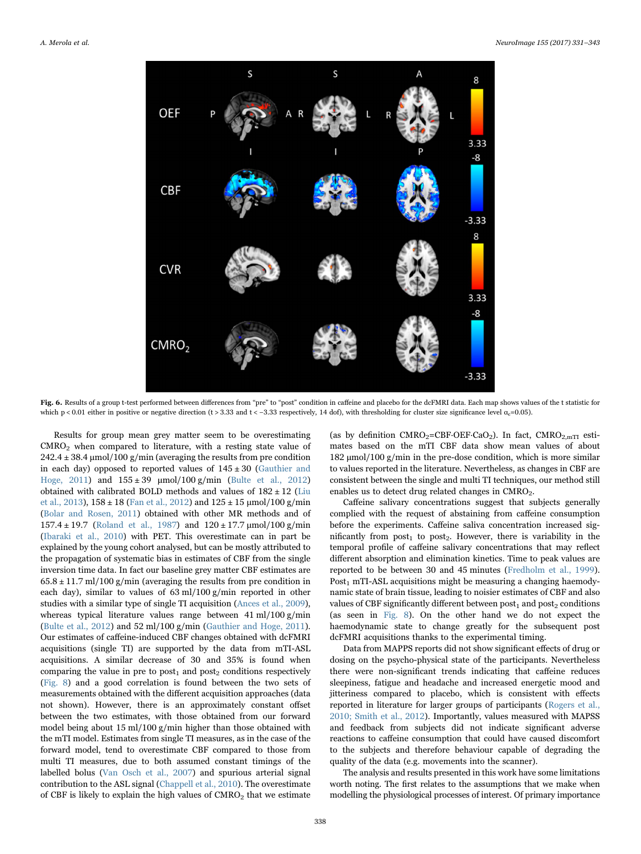<span id="page-7-0"></span>

Fig. 6. Results of a group t-test performed between differences from "pre" to "post" condition in caffeine and placebo for the dcFMRI data. Each map shows values of the t statistic for which p < 0.01 either in positive or negative direction (t > 3.33 and t < -3.33 respectively, 14 dof), with thresholding for cluster size significance level  $\alpha$ <sub>c</sub>=0.05).

Results for group mean grey matter seem to be overestimating CMRO2 when compared to literature, with a resting state value of  $242.4 \pm 38.4 \,\mathrm{\mu}$ mol/100 g/min (averaging the results from pre condition in each day) opposed to reported values of  $145 \pm 30$  [\(Gauthier and](#page-11-28) [Hoge, 2011](#page-11-28)) and  $155 \pm 39 \, \mu$ mol/100 g/min ([Bulte et al., 2012\)](#page-11-3) obtained with calibrated BOLD methods and values of  $182 \pm 12$  ([Liu](#page-11-29) [et al., 2013](#page-11-29)),  $158 \pm 18$  [\(Fan et al., 2012\)](#page-11-30) and  $125 \pm 15$  µmol/100 g/min ([Bolar and Rosen, 2011](#page-11-31)) obtained with other MR methods and of 157.4 ± 19.7 [\(Roland et al., 1987](#page-12-13)) and 120 ± 17.7 μmol/100 g/min ([Ibaraki et al., 2010\)](#page-11-32) with PET. This overestimate can in part be explained by the young cohort analysed, but can be mostly attributed to the propagation of systematic bias in estimates of CBF from the single inversion time data. In fact our baseline grey matter CBF estimates are  $65.8 \pm 11.7$  ml/100 g/min (averaging the results from pre condition in each day), similar to values of 63 ml/100 g/min reported in other studies with a similar type of single TI acquisition [\(Ances et al., 2009\)](#page-11-33), whereas typical literature values range between 41 ml/100 g/min ([Bulte et al., 2012\)](#page-11-3) and 52 ml/100 g/min ([Gauthier and Hoge, 2011\)](#page-11-28). Our estimates of caffeine-induced CBF changes obtained with dcFMRI acquisitions (single TI) are supported by the data from mTI-ASL acquisitions. A similar decrease of 30 and 35% is found when comparing the value in pre to post<sub>1</sub> and post<sub>2</sub> conditions respectively ([Fig. 8\)](#page-9-0) and a good correlation is found between the two sets of measurements obtained with the different acquisition approaches (data not shown). However, there is an approximately constant offset between the two estimates, with those obtained from our forward model being about 15 ml/100 g/min higher than those obtained with the mTI model. Estimates from single TI measures, as in the case of the forward model, tend to overestimate CBF compared to those from multi TI measures, due to both assumed constant timings of the labelled bolus [\(Van Osch et al., 2007\)](#page-12-14) and spurious arterial signal contribution to the ASL signal [\(Chappell et al., 2010\)](#page-11-22). The overestimate of CBF is likely to explain the high values of  $CMRO<sub>2</sub>$  that we estimate

(as by definition  $CMRO<sub>2</sub>=CBF-OEF\_CaO<sub>2</sub>$ ). In fact,  $CMRO<sub>2.mTI</sub>$  estimates based on the mTI CBF data show mean values of about 182 μmol/100 g/min in the pre-dose condition, which is more similar to values reported in the literature. Nevertheless, as changes in CBF are consistent between the single and multi TI techniques, our method still enables us to detect drug related changes in CMRO<sub>2</sub>.

Caffeine salivary concentrations suggest that subjects generally complied with the request of abstaining from caffeine consumption before the experiments. Caffeine saliva concentration increased significantly from  $post_1$  to  $post_2$ . However, there is variability in the temporal profile of caffeine salivary concentrations that may reflect different absorption and elimination kinetics. Time to peak values are reported to be between 30 and 45 minutes ([Fredholm et al., 1999\)](#page-11-4). Post<sub>1</sub> mTI-ASL acquisitions might be measuring a changing haemodynamic state of brain tissue, leading to noisier estimates of CBF and also values of CBF significantly different between  $post_1$  and  $post_2$  conditions (as seen in [Fig. 8\)](#page-9-0). On the other hand we do not expect the haemodynamic state to change greatly for the subsequent post dcFMRI acquisitions thanks to the experimental timing.

Data from MAPPS reports did not show significant effects of drug or dosing on the psycho-physical state of the participants. Nevertheless there were non-significant trends indicating that caffeine reduces sleepiness, fatigue and headache and increased energetic mood and jitteriness compared to placebo, which is consistent with effects reported in literature for larger groups of participants ([Rogers et al.,](#page-12-6) [2010; Smith et al., 2012\)](#page-12-6). Importantly, values measured with MAPSS and feedback from subjects did not indicate significant adverse reactions to caffeine consumption that could have caused discomfort to the subjects and therefore behaviour capable of degrading the quality of the data (e.g. movements into the scanner).

The analysis and results presented in this work have some limitations worth noting. The first relates to the assumptions that we make when modelling the physiological processes of interest. Of primary importance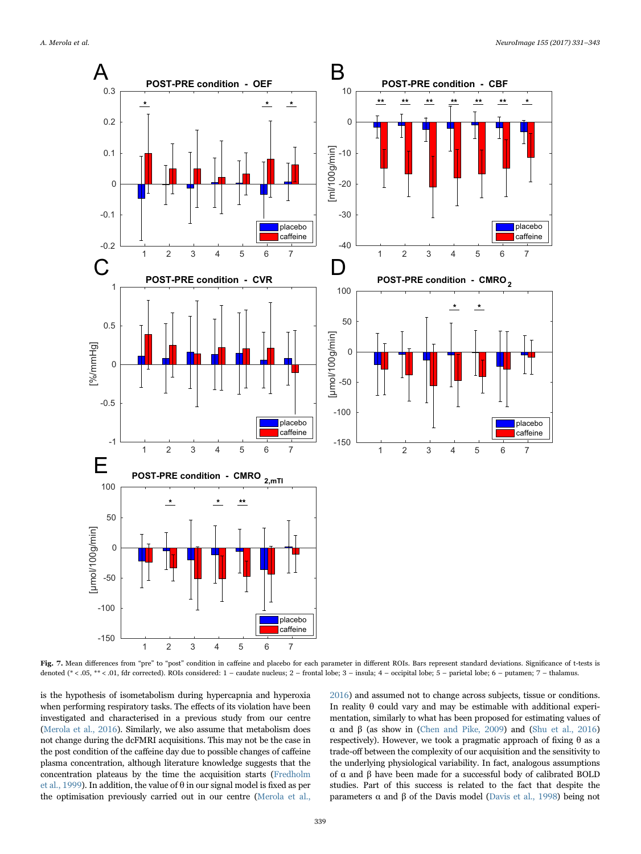<span id="page-8-0"></span>

Fig. 7. Mean differences from "pre" to "post" condition in caffeine and placebo for each parameter in different ROIs. Bars represent standard deviations. Significance of t-tests is denoted (\* < .05, \*\* < .01, fdr corrected). ROIs considered: 1 – caudate nucleus; 2 – frontal lobe; 3 – insula; 4 – occipital lobe; 5 – parietal lobe; 6 – putamen; 7 – thalamus.

is the hypothesis of isometabolism during hypercapnia and hyperoxia when performing respiratory tasks. The effects of its violation have been investigated and characterised in a previous study from our centre ([Merola et al., 2016\)](#page-11-18). Similarly, we also assume that metabolism does not change during the dcFMRI acquisitions. This may not be the case in the post condition of the caffeine day due to possible changes of caffeine plasma concentration, although literature knowledge suggests that the concentration plateaus by the time the acquisition starts [\(Fredholm](#page-11-4) [et al., 1999\)](#page-11-4). In addition, the value of  $\theta$  in our signal model is fixed as per the optimisation previously carried out in our centre [\(Merola et al.,](#page-11-18)

[2016](#page-11-18)) and assumed not to change across subjects, tissue or conditions. In reality θ could vary and may be estimable with additional experimentation, similarly to what has been proposed for estimating values of α and β (as show in ([Chen and Pike, 2009](#page-11-34)) and [\(Shu et al., 2016\)](#page-12-15) respectively). However, we took a pragmatic approach of fixing θ as a trade-off between the complexity of our acquisition and the sensitivity to the underlying physiological variability. In fact, analogous assumptions of α and β have been made for a successful body of calibrated BOLD studies. Part of this success is related to the fact that despite the parameters α and β of the Davis model ([Davis et al., 1998\)](#page-11-2) being not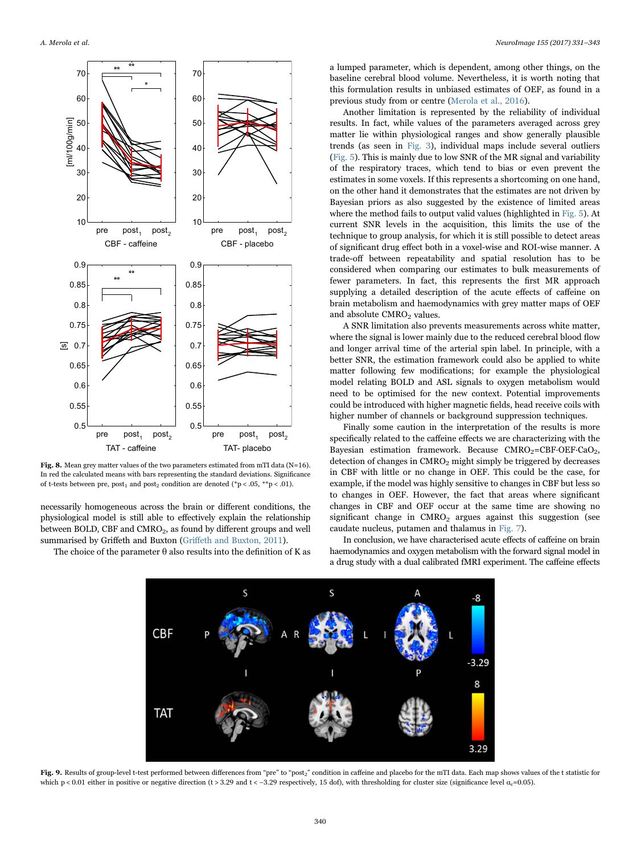<span id="page-9-0"></span>

Fig. 8. Mean grey matter values of the two parameters estimated from mTI data (N=16). In red the calculated means with bars representing the standard deviations. Significance of t-tests between pre, post<sub>1</sub> and post<sub>2</sub> condition are denoted (\*p < .05, \*\*p < .01).

necessarily homogeneous across the brain or different conditions, the physiological model is still able to effectively explain the relationship between BOLD, CBF and CMRO<sub>2</sub>, as found by different groups and well summarised by Griffeth and Buxton (Griff[eth and Buxton, 2011\)](#page-11-35).

<span id="page-9-1"></span>The choice of the parameter  $\theta$  also results into the definition of K as

a lumped parameter, which is dependent, among other things, on the baseline cerebral blood volume. Nevertheless, it is worth noting that this formulation results in unbiased estimates of OEF, as found in a previous study from or centre [\(Merola et al., 2016](#page-11-18)).

Another limitation is represented by the reliability of individual results. In fact, while values of the parameters averaged across grey matter lie within physiological ranges and show generally plausible trends (as seen in [Fig. 3](#page-5-0)), individual maps include several outliers ([Fig. 5\)](#page-6-1). This is mainly due to low SNR of the MR signal and variability of the respiratory traces, which tend to bias or even prevent the estimates in some voxels. If this represents a shortcoming on one hand, on the other hand it demonstrates that the estimates are not driven by Bayesian priors as also suggested by the existence of limited areas where the method fails to output valid values (highlighted in [Fig. 5](#page-6-1)). At current SNR levels in the acquisition, this limits the use of the technique to group analysis, for which it is still possible to detect areas of significant drug effect both in a voxel-wise and ROI-wise manner. A trade-off between repeatability and spatial resolution has to be considered when comparing our estimates to bulk measurements of fewer parameters. In fact, this represents the first MR approach supplying a detailed description of the acute effects of caffeine on brain metabolism and haemodynamics with grey matter maps of OEF and absolute CMRO<sub>2</sub> values.

A SNR limitation also prevents measurements across white matter, where the signal is lower mainly due to the reduced cerebral blood flow and longer arrival time of the arterial spin label. In principle, with a better SNR, the estimation framework could also be applied to white matter following few modifications; for example the physiological model relating BOLD and ASL signals to oxygen metabolism would need to be optimised for the new context. Potential improvements could be introduced with higher magnetic fields, head receive coils with higher number of channels or background suppression techniques.

Finally some caution in the interpretation of the results is more specifically related to the caffeine effects we are characterizing with the Bayesian estimation framework. Because  $CMRO<sub>2</sub>=CBF\cdot OEF\cdot CaO<sub>2</sub>$ , detection of changes in CMRO<sub>2</sub> might simply be triggered by decreases in CBF with little or no change in OEF. This could be the case, for example, if the model was highly sensitive to changes in CBF but less so to changes in OEF. However, the fact that areas where significant changes in CBF and OEF occur at the same time are showing no significant change in  $CMRO<sub>2</sub>$  argues against this suggestion (see caudate nucleus, putamen and thalamus in [Fig. 7](#page-8-0)).

In conclusion, we have characterised acute effects of caffeine on brain haemodynamics and oxygen metabolism with the forward signal model in a drug study with a dual calibrated fMRI experiment. The caffeine effects



Fig. 9. Results of group-level t-test performed between differences from "pre" to "post<sub>2</sub>" condition in caffeine and placebo for the mTI data. Each map shows values of the t statistic for which p < 0.01 either in positive or negative direction (t > 3.29 and t < -3.29 respectively, 15 dof), with thresholding for cluster size (significance level  $\alpha$ <sub>c</sub>=0.05).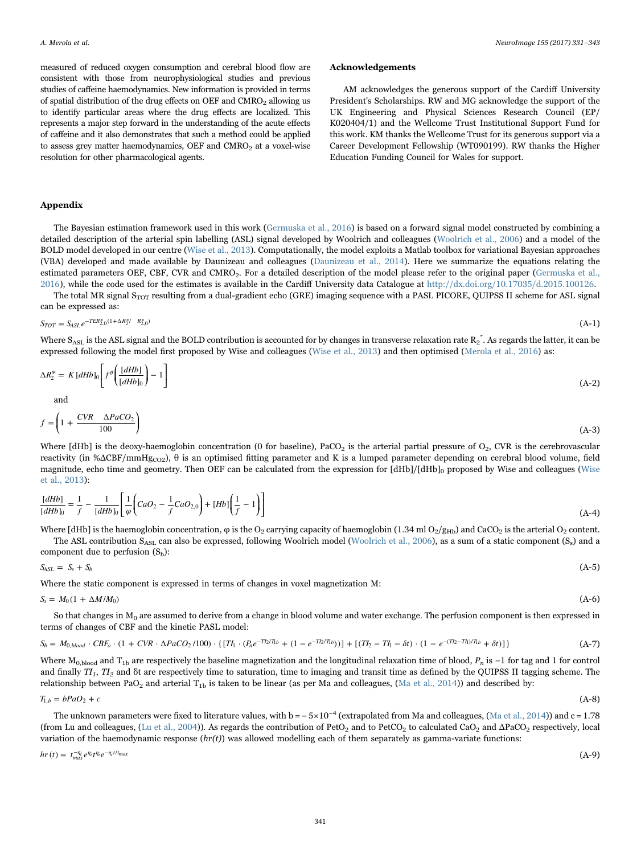measured of reduced oxygen consumption and cerebral blood flow are consistent with those from neurophysiological studies and previous studies of caffeine haemodynamics. New information is provided in terms of spatial distribution of the drug effects on OEF and CMRO<sub>2</sub> allowing us to identify particular areas where the drug effects are localized. This represents a major step forward in the understanding of the acute effects of caffeine and it also demonstrates that such a method could be applied to assess grey matter haemodynamics, OEF and  $CMRO<sub>2</sub>$  at a voxel-wise resolution for other pharmacological agents.

#### Acknowledgements

AM acknowledges the generous support of the Cardiff University President's Scholarships. RW and MG acknowledge the support of the UK Engineering and Physical Sciences Research Council (EP/ K020404/1) and the Wellcome Trust Institutional Support Fund for this work. KM thanks the Wellcome Trust for its generous support via a Career Development Fellowship (WT090199). RW thanks the Higher Education Funding Council for Wales for support.

## Appendix

The Bayesian estimation framework used in this work ([Germuska et al., 2016\)](#page-11-14) is based on a forward signal model constructed by combining a detailed description of the arterial spin labelling (ASL) signal developed by Woolrich and colleagues [\(Woolrich et al., 2006\)](#page-12-16) and a model of the BOLD model developed in our centre ([Wise et al., 2013\)](#page-12-17). Computationally, the model exploits a Matlab toolbox for variational Bayesian approaches (VBA) developed and made available by Daunizeau and colleagues ([Daunizeau et al., 2014\)](#page-11-36). Here we summarize the equations relating the estimated parameters OEF, CBF, CVR and CMRO<sub>2</sub>. For a detailed description of the model please refer to the original paper [\(Germuska et al.,](#page-11-14) [2016\)](#page-11-14), while the code used for the estimates is available in the Cardiff University data Catalogue at <http://dx.doi.org/10.17035/d.2015.100126>.

The total MR signal S<sub>TOT</sub> resulting from a dual-gradient echo (GRE) imaging sequence with a PASL PICORE, QUIPSS II scheme for ASL signal can be expressed as:

$$
S_{TOT} = S_{ASL}e^{-TE\hat{\mathbf{x}}_{\perp0}(1+\Delta R_{\perp}^{2}/R_{\perp0}^{2})}
$$
 (A-1)

Where S<sub>ASL</sub> is the ASL signal and the BOLD contribution is accounted for by changes in transverse relaxation rate R<sub>2</sub>\*. As regards the latter, it can be expressed following the model first proposed by Wise and colleagues [\(Wise et al., 2013\)](#page-12-17) and then optimised ([Merola et al., 2016](#page-11-18)) as:

$$
\Delta R_2^* = K \left[ dHb \right]_0 \left[ f^{\theta} \left( \frac{\left[ dHb \right]}{\left[ dHb \right]_0} \right) - 1 \right] \tag{A-2}
$$

and

$$
f = \left(1 + \frac{CVR \quad \Delta PaCO_2}{100}\right) \tag{A-3}
$$

Where [dHb] is the deoxy-haemoglobin concentration (0 for baseline), PaCO<sub>2</sub> is the arterial partial pressure of  $O_2$ , CVR is the cerebrovascular reactivity (in % $\triangle$ CBF/mmHg<sub>CO2</sub>),  $\theta$  is an optimised fitting parameter and K is a lumped parameter depending on cerebral blood volume, field magnitude, echo time and geometry. Then OEF can be calculated from the expression for [dHb]/[dHb]<sub>0</sub> proposed by Wise and colleagues [\(Wise](#page-12-17) [et al., 2013](#page-12-17)):

$$
\frac{[dHb]}{[dHb]_0} = \frac{1}{f} - \frac{1}{[dHb]_0} \left[ \frac{1}{\varphi} \left( CaO_2 - \frac{1}{f} CaO_{2,0} \right) + [Hb] \left( \frac{1}{f} - 1 \right) \right]
$$
\n(A-4)

Where [dHb] is the haemoglobin concentration,  $\varphi$  is the O<sub>2</sub> carrying capacity of haemoglobin (1.34 ml O<sub>2</sub>/g<sub>Hb</sub>) and CaCO<sub>2</sub> is the arterial O<sub>2</sub> content.

The ASL contribution  $S_{\text{AST}}$  can also be expressed, following Woolrich model ([Woolrich et al., 2006\)](#page-12-16), as a sum of a static component (Ss) and a  $convonent$  due to perfusion  $(S_i)$ .

component due to perusion (S<sub>b</sub>):

\n
$$
S_{\text{ASL}} = S_s + S_b \tag{A-5}
$$

Where the static component is expressed in terms of changes in voxel magnetization M:

$$
S_s = M_0 (1 + \Delta M / M_0) \tag{A-6}
$$

So that changes in  $M_0$  are assumed to derive from a change in blood volume and water exchange. The perfusion component is then expressed in terms of changes of CBF and the kinetic PASL model:

$$
S_b = M_{0,bload} \cdot CBF_o \cdot (1 + CVR \cdot \Delta PacO_2/100) \cdot \{[T_I \cdot (P_n e^{-T_2/T_1b} + (1 - e^{-T_2/T_1b}))] + [(T_I - T_I - \delta t) \cdot (1 - e^{-(T_2 - T_I)/T_1b} + \delta t)]\}
$$
(A-7)

Where  $M_{0, blood}$  and  $T_{1b}$  are respectively the baseline magnetization and the longitudinal relaxation time of blood,  $P_n$  is −1 for tag and 1 for control and finally  $TI_1$ ,  $TI_2$  and  $\delta t$  are respectively time to saturation, time to imaging and transit time as defined by the QUIPSS II tagging scheme. The relationship between PaO<sub>2</sub> and arterial T<sub>1b</sub> is taken to be linear (as per Ma and colleagues, [\(Ma et al., 2014\)](#page-11-37)) and described by:

$$
T_{1,b} = bPaO_2 + c \tag{A-8}
$$

The unknown parameters were fixed to literature values, with  $b = -5 \times 10^{-4}$  (extrapolated from Ma and colleagues, ([Ma et al., 2014](#page-11-37))) and c = 1.78 (from Lu and colleagues, ([Lu et al., 2004](#page-11-38))). As regards the contribution of PetO<sub>2</sub> and to PetCO<sub>2</sub> to calculated CaO<sub>2</sub> and  $\Delta$ PaCO<sub>2</sub> respectively, local variation of the haemodynamic response  $(hr(t))$  was allowed modelling each of them separately as gamma-variate functions:

 $hr(t) = t_{max}^{-\eta_i} e^{\eta_i} t^{\eta_i} e^{-\eta_i t / t_{max}}$  $-$ *η<sub>π</sub> η i i*<sub> *i*</sub> *i*<sub>*i*</sub> *i*<sub>*i*</sub> *i*<sub>*i*</sub> *i*<sub>*i*</sub> *i*<sub>*i*</sub> *i*<sub>*i*</sub> *i*<sub>*i*</sub> *i*<sub>*i*</sub> *i*<sub>*i*</sub> *i*<sub>*i*</sub> *i*<sub>*i*</sub> *i*<sub>*i*</sub> *i*<sub>*i*</sub> *i*<sub>*i*</sub> *i*<sub>*i*</sub> *i*<sub>*i*</sub> *i*<sub>*i*</sub> *i*<sub>*i*</sub> *i*<sub>*i*</sub> *i*<sub>*i*</sub> *i*<sub>*i*</sub> *i*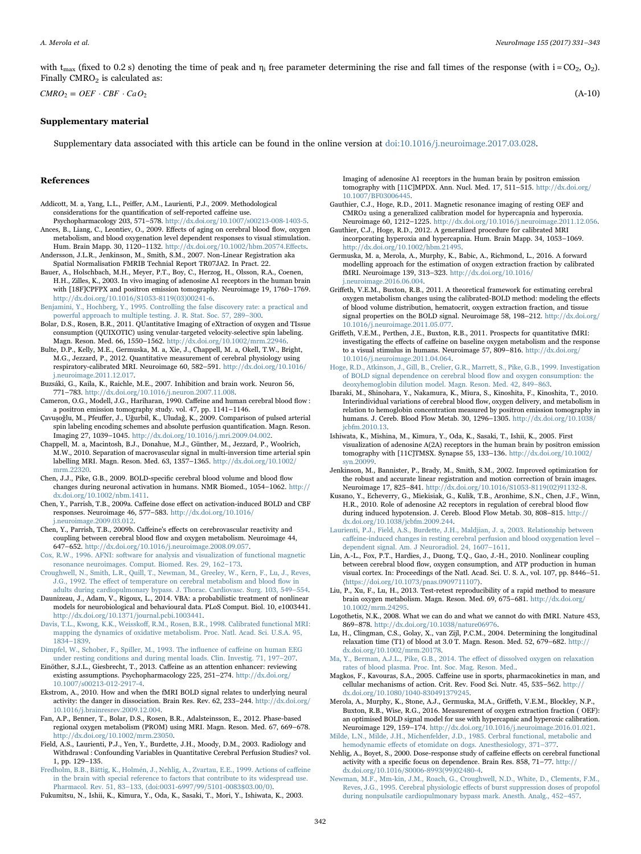with t<sub>max</sub> (fixed to 0.2 s) denoting the time of peak and  $\eta_i$  free parameter determining the rise and fall times of the response (with i = CO<sub>2</sub>, O<sub>2</sub>). Finally  $CMRO<sub>2</sub>$  is calculated as:

 $CMRO_2 = OEF \cdot CBF \cdot CaO_2$  (A-10)

#### Supplementary material

Supplementary data associated with this article can be found in the online version at [doi:10.1016/j.neuroimage.2017.03.028.](http://dx.doi.org/10.1016/j.neuroimage.2017.03.028)

#### References

- <span id="page-11-15"></span>Addicott, M. a, Yang, L.L., Peiffer, A.M., Laurienti, P.J., 2009. Methodological considerations for the quantification of self-reported caffeine use.
- <span id="page-11-33"></span>Psychopharmacology 203, 571–578. <http://dx.doi.org/10.1007/s00213-008-1403-5>. Ances, B., Liang, C., Leontiev, O., 2009. Effects of aging on cerebral blood flow, oxygen metabolism, and blood oxygenation level dependent responses to visual stimulation. Hum. Brain Mapp. 30, 1120–1132. [http://dx.doi.org/10.1002/hbm.20574.E](http://dx.doi.org/10.1002/hbm.20574.Effects)ffects.
- <span id="page-11-19"></span>Andersson, J.L.R., Jenkinson, M., Smith, S.M., 2007. Non-Linear Registration aka Spatial Normalisation FMRIB Technial Report TR07JA2. In Pract. 22.
- <span id="page-11-7"></span>Bauer, A., Holschbach, M.H., Meyer, P.T., Boy, C., Herzog, H., Olsson, R.A., Coenen, H.H., Zilles, K., 2003. In vivo imaging of adenosine A1 receptors in the human brain with [18F]CPFPX and positron emission tomography. Neuroimage 19, 1760–1769. [http://dx.doi.org/10.1016/S1053-8119\(03\)00241-6.](http://dx.doi.org/10.1016/S1053-8119(03)00241-6)
- <span id="page-11-21"></span>[Benjamini, Y., Hochberg, Y., 1995. Controlling the false discovery rate: a practical and](http://refhub.elsevier.com/S1053-8119(17)30236-7/sbref4) [powerful approach to multiple testing. J. R. Stat. Soc. 57, 289](http://refhub.elsevier.com/S1053-8119(17)30236-7/sbref4)–300.
- <span id="page-11-31"></span>Bolar, D.S., Rosen, B.R., 2011. QUantitative Imaging of eXtraction of oxygen and TIssue consumption (QUIXOTIC) using venular-targeted velocity-selective spin labeling. Magn. Reson. Med. 66, 1550–1562. <http://dx.doi.org/10.1002/mrm.22946>.
- <span id="page-11-3"></span>Bulte, D.P., Kelly, M.E., Germuska, M. a, Xie, J., Chappell, M. a, Okell, T.W., Bright, M.G., Jezzard, P., 2012. Quantitative measurement of cerebral physiology using respiratory-calibrated MRI. Neuroimage 60, 582–591. [http://dx.doi.org/10.1016/](http://dx.doi.org/10.1016/j.neuroimage.2011.12.017) [j.neuroimage.2011.12.017](http://dx.doi.org/10.1016/j.neuroimage.2011.12.017).
- <span id="page-11-26"></span>Buzsáki, G., Kaila, K., Raichle, M.E., 2007. Inhibition and brain work. Neuron 56, 771–783. [http://dx.doi.org/10.1016/j.neuron.2007.11.008.](http://dx.doi.org/10.1016/j.neuron.2007.11.008)
- <span id="page-11-10"></span>Cameron, O.G., Modell, J.G., Hariharan, 1990. Caffeine and human cerebral blood flow : a positron emission tomography study. vol. 47, pp. 1141–1146.
- <span id="page-11-16"></span>Çavuşoǧlu, M., Pfeuffer, J., Uǧurbil, K., Uludaǧ, K., 2009. Comparison of pulsed arterial spin labeling encoding schemes and absolute perfusion quantification. Magn. Reson. Imaging 27, 1039–1045. [http://dx.doi.org/10.1016/j.mri.2009.04.002.](http://dx.doi.org/10.1016/j.mri.2009.04.002)
- <span id="page-11-22"></span>Chappell, M. a, Macintosh, B.J., Donahue, M.J., Günther, M., Jezzard, P., Woolrich, M.W., 2010. Separation of macrovascular signal in multi-inversion time arterial spin labelling MRI. Magn. Reson. Med. 63, 1357–1365. [http://dx.doi.org/10.1002/](http://dx.doi.org/10.1002/mrm.22320) [mrm.22320](http://dx.doi.org/10.1002/mrm.22320).
- <span id="page-11-34"></span>Chen, J.J., Pike, G.B., 2009. BOLD-specific cerebral blood volume and blood flow changes during neuronal activation in humans. NMR Biomed., 1054–1062. [http://](http://dx.doi.org/10.1002/nbm.1411) [dx.doi.org/10.1002/nbm.1411](http://dx.doi.org/10.1002/nbm.1411).
- <span id="page-11-11"></span>Chen, Y., Parrish, T.B., 2009a. Caffeine dose effect on activation-induced BOLD and CBF responses. Neuroimage 46, 577–583. [http://dx.doi.org/10.1016/](http://dx.doi.org/10.1016/j.neuroimage.2009.03.012) [j.neuroimage.2009.03.012](http://dx.doi.org/10.1016/j.neuroimage.2009.03.012).
- <span id="page-11-12"></span>Chen, Y., Parrish, T.B., 2009b. Caffeine's effects on cerebrovascular reactivity and coupling between cerebral blood flow and oxygen metabolism. Neuroimage 44, 647–652. <http://dx.doi.org/10.1016/j.neuroimage.2008.09.057>.
- <span id="page-11-20"></span>[Cox, R.W., 1996. AFNI: software for analysis and visualization of functional magnetic](http://refhub.elsevier.com/S1053-8119(17)30236-7/sbref13) [resonance neuroimages. Comput. Biomed. Res. 29, 162](http://refhub.elsevier.com/S1053-8119(17)30236-7/sbref13)–173.
- <span id="page-11-25"></span>[Croughwell, N., Smith, L.R., Quill, T., Newman, M., Greeley, W., Kern, F., Lu, J., Reves,](http://refhub.elsevier.com/S1053-8119(17)30236-7/sbref14) J.G., 1992. The eff[ect of temperature on cerebral metabolism and blood](http://refhub.elsevier.com/S1053-8119(17)30236-7/sbref14) flow in [adults during cardiopulmonary bypass. J. Thorac. Cardiovasc. Surg. 103, 549](http://refhub.elsevier.com/S1053-8119(17)30236-7/sbref14)–554.
- <span id="page-11-36"></span>Daunizeau, J., Adam, V., Rigoux, L., 2014. VBA: a probabilistic treatment of nonlinear models for neurobiological and behavioural data. PLoS Comput. Biol. 10, e1003441. <http://dx.doi.org/10.1371/journal.pcbi.1003441>.
- <span id="page-11-2"></span>Davis, T.L., Kwong, K.K., Weisskoff[, R.M., Rosen, B.R., 1998. Calibrated functional MRI:](http://refhub.elsevier.com/S1053-8119(17)30236-7/sbref16) [mapping the dynamics of oxidative metabolism. Proc. Natl. Acad. Sci. U.S.A. 95,](http://refhub.elsevier.com/S1053-8119(17)30236-7/sbref16) 1834–[1839](http://refhub.elsevier.com/S1053-8119(17)30236-7/sbref16).
- <span id="page-11-27"></span>[Dimpfel, W., Schober, F., Spiller, M., 1993. The in](http://refhub.elsevier.com/S1053-8119(17)30236-7/sbref17)fluence of caffeine on human EEG [under resting conditions and during mental loads. Clin. Investig. 71, 197](http://refhub.elsevier.com/S1053-8119(17)30236-7/sbref17)–207.
- <span id="page-11-8"></span>Einöther, S.J.L., Giesbrecht, T., 2013. Caffeine as an attention enhancer: reviewing existing assumptions. Psychopharmacology 225, 251–274. [http://dx.doi.org/](http://dx.doi.org/10.1007/s00213-012-2917-4) [10.1007/s00213-012-2917-4](http://dx.doi.org/10.1007/s00213-012-2917-4).
- <span id="page-11-0"></span>Ekstrom, A., 2010. How and when the fMRI BOLD signal relates to underlying neural activity: the danger in dissociation. Brain Res. Rev. 62, 233–244. [http://dx.doi.org/](http://dx.doi.org/10.1016/j.brainresrev.2009.12.004) [10.1016/j.brainresrev.2009.12.004](http://dx.doi.org/10.1016/j.brainresrev.2009.12.004).
- <span id="page-11-30"></span>Fan, A.P., Benner, T., Bolar, D.S., Rosen, B.R., Adalsteinsson, E., 2012. Phase-based regional oxygen metabolism (PROM) using MRI. Magn. Reson. Med. 67, 669–678. [http://dx.doi.org/10.1002/mrm.23050.](http://dx.doi.org/10.1002/mrm.23050)
- Field, A.S., Laurienti, P.J., Yen, Y., Burdette, J.H., Moody, D.M., 2003. Radiology and Withdrawal : Confounding Variables in Quantitative Cerebral Perfusion Studies? vol. 1, pp. 129–135.
- <span id="page-11-4"></span>[Fredholm, B.B., Bättig, K., Holmén, J., Nehlig, A., Zvartau, E.E., 1999. Actions of ca](http://refhub.elsevier.com/S1053-8119(17)30236-7/sbref21)ffeine [in the brain with special reference to factors that contribute to its widespread use.](http://refhub.elsevier.com/S1053-8119(17)30236-7/sbref21) Pharmacol. Rev. 51, 83–133, [\(doi:0031-6997/99/5101-0083\\$03.00/0\).](http://refhub.elsevier.com/S1053-8119(17)30236-7/sbref21)

Fukumitsu, N., Ishii, K., Kimura, Y., Oda, K., Sasaki, T., Mori, Y., Ishiwata, K., 2003.

Imaging of adenosine A1 receptors in the human brain by positron emission tomography with [11C]MPDX. Ann. Nucl. Med. 17, 511–515. [http://dx.doi.org/](http://dx.doi.org/10.1007/BF03006445) [10.1007/BF03006445](http://dx.doi.org/10.1007/BF03006445).

- <span id="page-11-28"></span>Gauthier, C.J., Hoge, R.D., 2011. Magnetic resonance imaging of resting OEF and CMRO2 using a generalized calibration model for hypercapnia and hyperoxia.<br>Neuroimage 60, 1212–1225, http://dx.doi.org/10.1016/j.neuroimage.2011.12.056. Neuroimage  $60, 1212-1225.$  http://dx.doi.org/10.1016/j.neuroimage
- Gauthier, C.J., Hoge, R.D., 2012. A generalized procedure for calibrated MRI incorporating hyperoxia and hypercapnia. Hum. Brain Mapp. 34, 1053–1069. [http://dx.doi.org/10.1002/hbm.21495.](http://dx.doi.org/10.1002/hbm.21495)
- <span id="page-11-14"></span>Germuska, M. a, Merola, A., Murphy, K., Babic, A., Richmond, L., 2016. A forward modelling approach for the estimation of oxygen extraction fraction by calibrated fMRI. Neuroimage 139, 313–323. [http://dx.doi.org/10.1016/](http://dx.doi.org/10.1016/j.neuroimage.2016.06.004) [j.neuroimage.2016.06.004](http://dx.doi.org/10.1016/j.neuroimage.2016.06.004).
- <span id="page-11-35"></span>Griffeth, V.E.M., Buxton, R.B., 2011. A theoretical framework for estimating cerebral oxygen metabolism changes using the calibrated-BOLD method: modeling the effects of blood volume distribution, hematocrit, oxygen extraction fraction, and tissue signal properties on the BOLD signal. Neuroimage 58, 198–212. [http://dx.doi.org/](http://dx.doi.org/10.1016/j.neuroimage.2011.05.077) [10.1016/j.neuroimage.2011.05.077](http://dx.doi.org/10.1016/j.neuroimage.2011.05.077).
- <span id="page-11-13"></span>Griffeth, V.E.M., Perthen, J.E., Buxton, R.B., 2011. Prospects for quantitative fMRI: investigating the effects of caffeine on baseline oxygen metabolism and the response to a visual stimulus in humans. Neuroimage 57, 809–816. [http://dx.doi.org/](http://dx.doi.org/10.1016/j.neuroimage.2011.04.064) [10.1016/j.neuroimage.2011.04.064](http://dx.doi.org/10.1016/j.neuroimage.2011.04.064).
- [Hoge, R.D., Atkinson, J., Gill, B., Crelier, G.R., Marrett, S., Pike, G.B., 1999. Investigation](http://refhub.elsevier.com/S1053-8119(17)30236-7/sbref29) [of BOLD signal dependence on cerebral blood](http://refhub.elsevier.com/S1053-8119(17)30236-7/sbref29) flow and oxygen consumption: the [deoxyhemoglobin dilution model. Magn. Reson. Med. 42, 849](http://refhub.elsevier.com/S1053-8119(17)30236-7/sbref29)–863.
- <span id="page-11-32"></span>Ibaraki, M., Shinohara, Y., Nakamura, K., Miura, S., Kinoshita, F., Kinoshita, T., 2010. Interindividual variations of cerebral blood flow, oxygen delivery, and metabolism in relation to hemoglobin concentration measured by positron emission tomography in humans. J. Cereb. Blood Flow Metab. 30, 1296–1305. [http://dx.doi.org/10.1038/](http://dx.doi.org/10.1038/jcbfm.2010.13) [jcbfm.2010.13.](http://dx.doi.org/10.1038/jcbfm.2010.13)
- Ishiwata, K., Mishina, M., Kimura, Y., Oda, K., Sasaki, T., Ishii, K., 2005. First visualization of adenosine A(2A) receptors in the human brain by positron emission tomography with [11C]TMSX. Synapse 55, 133–136. [http://dx.doi.org/10.1002/](http://dx.doi.org/10.1002/syn.20099) [syn.20099.](http://dx.doi.org/10.1002/syn.20099)
- <span id="page-11-17"></span>Jenkinson, M., Bannister, P., Brady, M., Smith, S.M., 2002. Improved optimization for the robust and accurate linear registration and motion correction of brain images. Neuroimage 17, 825–841. [http://dx.doi.org/10.1016/S1053-8119\(02\)91132-8](http://dx.doi.org/10.1016/S1053-8119(02)91132-8).
- <span id="page-11-5"></span>Kusano, Y., Echeverry, G., Miekisiak, G., Kulik, T.B., Aronhime, S.N., Chen, J.F., Winn, H.R., 2010. Role of adenosine A2 receptors in regulation of cerebral blood flow during induced hypotension. J. Cereb. Blood Flow Metab. 30, 808–815. [http://](http://dx.doi.org/10.1038/jcbfm.2009.244) [dx.doi.org/10.1038/jcbfm.2009.244.](http://dx.doi.org/10.1038/jcbfm.2009.244)
- <span id="page-11-6"></span>Laurienti, [P.J., Field, A.S., Burdette, J.H., Maldjian, J. a, 2003. Relationship between](http://refhub.elsevier.com/S1053-8119(17)30236-7/sbref34) caff[eine-induced changes in resting cerebral perfusion and blood oxygenation level](http://refhub.elsevier.com/S1053-8119(17)30236-7/sbref34) – [dependent signal. Am. J Neuroradiol. 24, 1607](http://refhub.elsevier.com/S1053-8119(17)30236-7/sbref34)–1611.
- <span id="page-11-1"></span>Lin, A.-L., Fox, P.T., Hardies, J., Duong, T.Q., Gao, J.-H., 2010. Nonlinear coupling between cerebral blood flow, oxygen consumption, and ATP production in human visual cortex. In: Proceedings of the Natl. Acad. Sci. U. S. A., vol. 107, pp. 8446–51. 〈<https://doi.org/10.1073/pnas.0909711107>〉.
- <span id="page-11-29"></span>Liu, P., Xu, F., Lu, H., 2013. Test-retest reproducibility of a rapid method to measure brain oxygen metabolism. Magn. Reson. Med. 69, 675–681. [http://dx.doi.org/](http://dx.doi.org/10.1002/mrm.24295) [10.1002/mrm.24295](http://dx.doi.org/10.1002/mrm.24295).
- Logothetis, N.K., 2008. What we can do and what we cannot do with fMRI. Nature 453, 869–878. <http://dx.doi.org/10.1038/nature06976>.
- <span id="page-11-38"></span>Lu, H., Clingman, C.S., Golay, X., van Zijl, P.C.M., 2004. Determining the longitudinal relaxation time (T1) of blood at 3.0 T. Magn. Reson. Med. 52, 679–682. [http://](http://dx.doi.org/10.1002/mrm.20178) [dx.doi.org/10.1002/mrm.20178.](http://dx.doi.org/10.1002/mrm.20178)
- <span id="page-11-37"></span>[Ma, Y., Berman, A.J.L., Pike, G.B., 2014. The e](http://refhub.elsevier.com/S1053-8119(17)30236-7/sbref38)ffect of dissolved oxygen on relaxation [rates of blood plasma. Proc. Int. Soc. Mag. Reson. Med..](http://refhub.elsevier.com/S1053-8119(17)30236-7/sbref38)
- Magkos, F., Kavouras, S.A., 2005. Caffeine use in sports, pharmacokinetics in man, and cellular mechanisms of action. Crit. Rev. Food Sci. Nutr. 45, 535–562. [http://](http://dx.doi.org/10.1080/1040-830491379245) [dx.doi.org/10.1080/1040-830491379245](http://dx.doi.org/10.1080/1040-830491379245).
- <span id="page-11-18"></span>Merola, A., Murphy, K., Stone, A.J., Germuska, M.A., Griffeth, V.E.M., Blockley, N.P., Buxton, R.B., Wise, R.G., 2016. Measurement of oxygen extraction fraction ( OEF): an optimised BOLD signal model for use with hypercapnic and hyperoxic calibration. Neuroimage 129, 159–174. [http://dx.doi.org/10.1016/j.neuroimage.2016.01.021.](http://dx.doi.org/10.1016/j.neuroimage.2016.01.021)
- <span id="page-11-23"></span>[Milde, L.N., Milde, J.H., Michenfelder, J.D., 1985. Cerbral functional, metabolic and](http://refhub.elsevier.com/S1053-8119(17)30236-7/sbref41) hemodynamic eff[ects of etomidate on dogs. Anesthesiology, 371](http://refhub.elsevier.com/S1053-8119(17)30236-7/sbref41)–377. Nehlig, A., Boyet, S., 2000. Dose-response study of caffeine effects on cerebral functional
- <span id="page-11-9"></span>activity with a specific focus on dependence. Brain Res. 858, 71–77. [http://](http://dx.doi.org/10.1016/S0006-8993(99)02480-4) [dx.doi.org/10.1016/S0006-8993\(99\)02480-4.](http://dx.doi.org/10.1016/S0006-8993(99)02480-4)
- <span id="page-11-24"></span>[Newman, M.F., Mm-kin, J.M., Roach, G., Croughwell, N.D., White, D., Clements, F.M.,](http://refhub.elsevier.com/S1053-8119(17)30236-7/sbref43) Reves, J.G., 1995. Cerebral physiologic eff[ects of burst suppression doses of propofol](http://refhub.elsevier.com/S1053-8119(17)30236-7/sbref43) [during nonpulsatile cardiopulmonary bypass mark. Anesth. Analg., 452](http://refhub.elsevier.com/S1053-8119(17)30236-7/sbref43)–457.